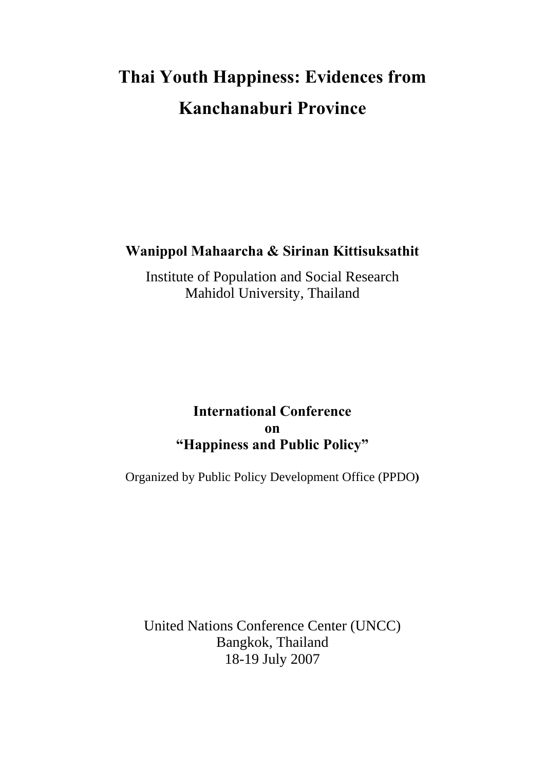# **Thai Youth Happiness: Evidences from Kanchanaburi Province**

### **Wanippol Mahaarcha & Sirinan Kittisuksathit**

Institute of Population and Social Research Mahidol University, Thailand

### **International Conference on "Happiness and Public Policy"**

Organized by Public Policy Development Office (PPDO**)** 

United Nations Conference Center (UNCC) Bangkok, Thailand 18-19 July 2007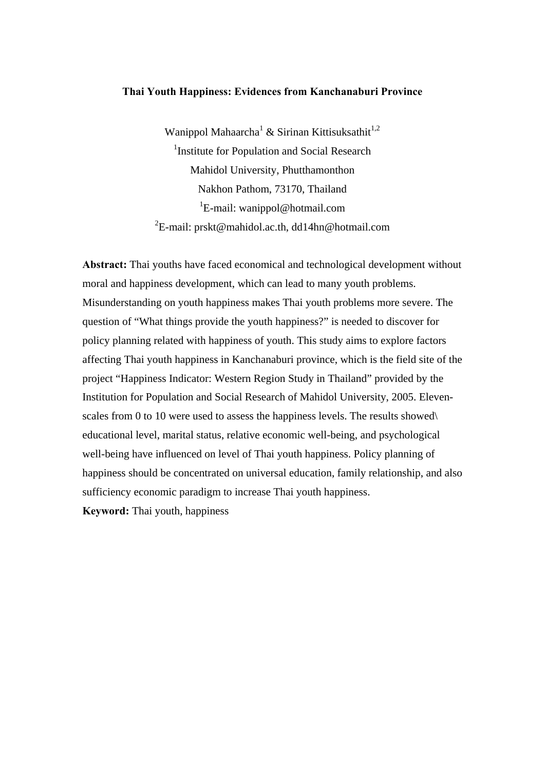#### **Thai Youth Happiness: Evidences from Kanchanaburi Province**

Wanippol Mahaarcha<sup>1</sup> & Sirinan Kittisuksathit<sup>1,2</sup> <sup>1</sup>Institute for Population and Social Research Mahidol University, Phutthamonthon Nakhon Pathom, 73170, Thailand <sup>1</sup>E-mail: wanippol@hotmail.com  ${}^{2}E$ -mail: prskt@mahidol.ac.th, dd14hn@hotmail.com

**Abstract:** Thai youths have faced economical and technological development without moral and happiness development, which can lead to many youth problems. Misunderstanding on youth happiness makes Thai youth problems more severe. The question of "What things provide the youth happiness?" is needed to discover for policy planning related with happiness of youth. This study aims to explore factors affecting Thai youth happiness in Kanchanaburi province, which is the field site of the project "Happiness Indicator: Western Region Study in Thailand" provided by the Institution for Population and Social Research of Mahidol University, 2005. Elevenscales from 0 to 10 were used to assess the happiness levels. The results showed educational level, marital status, relative economic well-being, and psychological well-being have influenced on level of Thai youth happiness. Policy planning of happiness should be concentrated on universal education, family relationship, and also sufficiency economic paradigm to increase Thai youth happiness. **Keyword:** Thai youth, happiness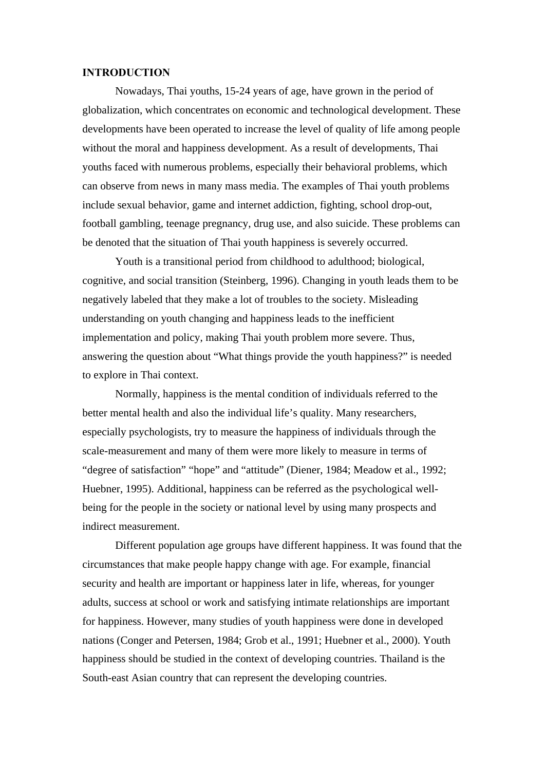#### **INTRODUCTION**

 Nowadays, Thai youths, 15-24 years of age, have grown in the period of globalization, which concentrates on economic and technological development. These developments have been operated to increase the level of quality of life among people without the moral and happiness development. As a result of developments, Thai youths faced with numerous problems, especially their behavioral problems, which can observe from news in many mass media. The examples of Thai youth problems include sexual behavior, game and internet addiction, fighting, school drop-out, football gambling, teenage pregnancy, drug use, and also suicide. These problems can be denoted that the situation of Thai youth happiness is severely occurred.

 Youth is a transitional period from childhood to adulthood; biological, cognitive, and social transition (Steinberg, 1996). Changing in youth leads them to be negatively labeled that they make a lot of troubles to the society. Misleading understanding on youth changing and happiness leads to the inefficient implementation and policy, making Thai youth problem more severe. Thus, answering the question about "What things provide the youth happiness?" is needed to explore in Thai context.

 Normally, happiness is the mental condition of individuals referred to the better mental health and also the individual life's quality. Many researchers, especially psychologists, try to measure the happiness of individuals through the scale-measurement and many of them were more likely to measure in terms of "degree of satisfaction" "hope" and "attitude" (Diener, 1984; Meadow et al., 1992; Huebner, 1995). Additional, happiness can be referred as the psychological wellbeing for the people in the society or national level by using many prospects and indirect measurement.

Different population age groups have different happiness. It was found that the circumstances that make people happy change with age. For example, financial security and health are important or happiness later in life, whereas, for younger adults, success at school or work and satisfying intimate relationships are important for happiness. However, many studies of youth happiness were done in developed nations (Conger and Petersen, 1984; Grob et al., 1991; Huebner et al., 2000). Youth happiness should be studied in the context of developing countries. Thailand is the South-east Asian country that can represent the developing countries.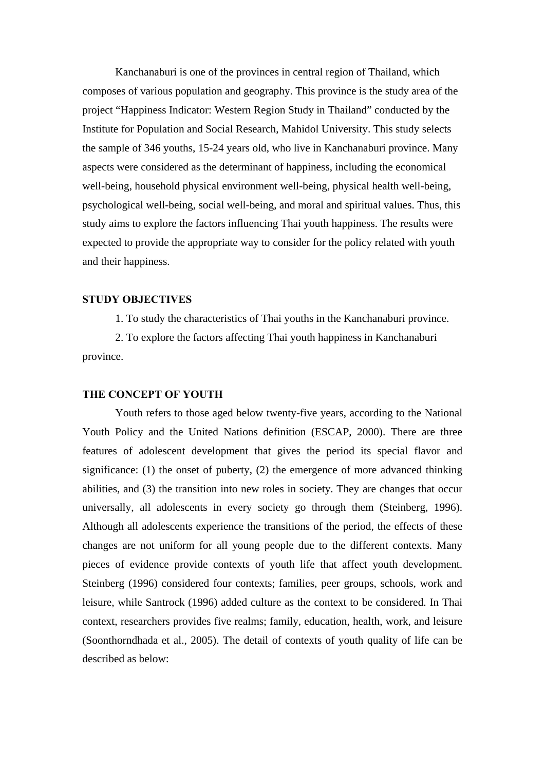Kanchanaburi is one of the provinces in central region of Thailand, which composes of various population and geography. This province is the study area of the project "Happiness Indicator: Western Region Study in Thailand" conducted by the Institute for Population and Social Research, Mahidol University. This study selects the sample of 346 youths, 15-24 years old, who live in Kanchanaburi province. Many aspects were considered as the determinant of happiness, including the economical well-being, household physical environment well-being, physical health well-being, psychological well-being, social well-being, and moral and spiritual values. Thus, this study aims to explore the factors influencing Thai youth happiness. The results were expected to provide the appropriate way to consider for the policy related with youth and their happiness.

#### **STUDY OBJECTIVES**

1. To study the characteristics of Thai youths in the Kanchanaburi province.

 2. To explore the factors affecting Thai youth happiness in Kanchanaburi province.

#### **THE CONCEPT OF YOUTH**

Youth refers to those aged below twenty-five years, according to the National Youth Policy and the United Nations definition (ESCAP, 2000). There are three features of adolescent development that gives the period its special flavor and significance: (1) the onset of puberty, (2) the emergence of more advanced thinking abilities, and (3) the transition into new roles in society. They are changes that occur universally, all adolescents in every society go through them (Steinberg, 1996). Although all adolescents experience the transitions of the period, the effects of these changes are not uniform for all young people due to the different contexts. Many pieces of evidence provide contexts of youth life that affect youth development. Steinberg (1996) considered four contexts; families, peer groups, schools, work and leisure, while Santrock (1996) added culture as the context to be considered. In Thai context, researchers provides five realms; family, education, health, work, and leisure (Soonthorndhada et al., 2005). The detail of contexts of youth quality of life can be described as below: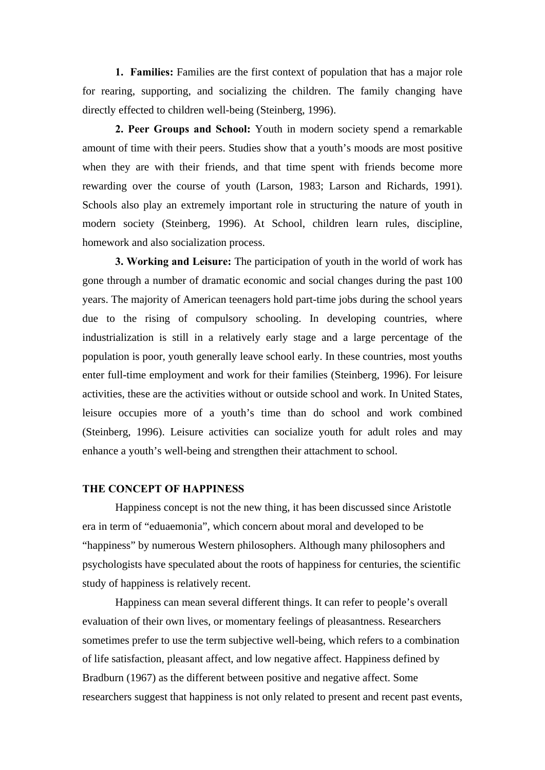**1. Families:** Families are the first context of population that has a major role for rearing, supporting, and socializing the children. The family changing have directly effected to children well-being (Steinberg, 1996).

**2. Peer Groups and School:** Youth in modern society spend a remarkable amount of time with their peers. Studies show that a youth's moods are most positive when they are with their friends, and that time spent with friends become more rewarding over the course of youth (Larson, 1983; Larson and Richards, 1991). Schools also play an extremely important role in structuring the nature of youth in modern society (Steinberg, 1996). At School, children learn rules, discipline, homework and also socialization process.

**3. Working and Leisure:** The participation of youth in the world of work has gone through a number of dramatic economic and social changes during the past 100 years. The majority of American teenagers hold part-time jobs during the school years due to the rising of compulsory schooling. In developing countries, where industrialization is still in a relatively early stage and a large percentage of the population is poor, youth generally leave school early. In these countries, most youths enter full-time employment and work for their families (Steinberg, 1996). For leisure activities, these are the activities without or outside school and work. In United States, leisure occupies more of a youth's time than do school and work combined (Steinberg, 1996). Leisure activities can socialize youth for adult roles and may enhance a youth's well-being and strengthen their attachment to school.

#### **THE CONCEPT OF HAPPINESS**

 Happiness concept is not the new thing, it has been discussed since Aristotle era in term of "eduaemonia", which concern about moral and developed to be "happiness" by numerous Western philosophers. Although many philosophers and psychologists have speculated about the roots of happiness for centuries, the scientific study of happiness is relatively recent.

 Happiness can mean several different things. It can refer to people's overall evaluation of their own lives, or momentary feelings of pleasantness. Researchers sometimes prefer to use the term subjective well-being, which refers to a combination of life satisfaction, pleasant affect, and low negative affect. Happiness defined by Bradburn (1967) as the different between positive and negative affect. Some researchers suggest that happiness is not only related to present and recent past events,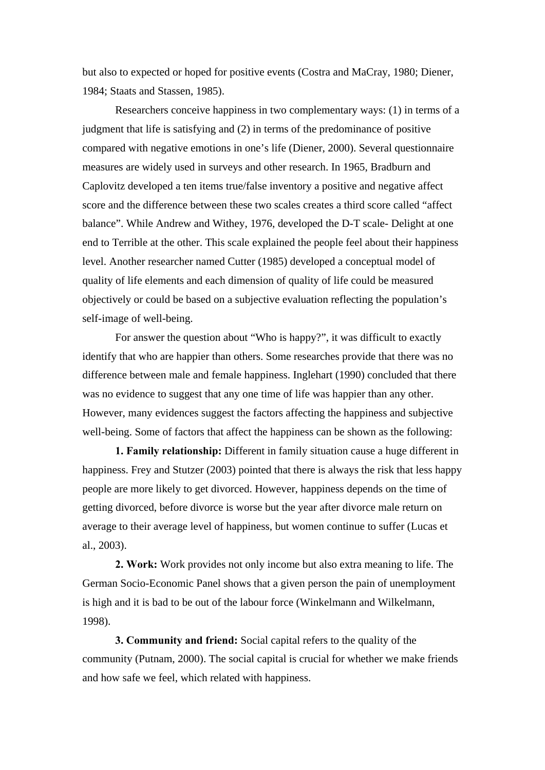but also to expected or hoped for positive events (Costra and MaCray, 1980; Diener, 1984; Staats and Stassen, 1985).

 Researchers conceive happiness in two complementary ways: (1) in terms of a judgment that life is satisfying and (2) in terms of the predominance of positive compared with negative emotions in one's life (Diener, 2000). Several questionnaire measures are widely used in surveys and other research. In 1965, Bradburn and Caplovitz developed a ten items true/false inventory a positive and negative affect score and the difference between these two scales creates a third score called "affect balance". While Andrew and Withey, 1976, developed the D-T scale- Delight at one end to Terrible at the other. This scale explained the people feel about their happiness level. Another researcher named Cutter (1985) developed a conceptual model of quality of life elements and each dimension of quality of life could be measured objectively or could be based on a subjective evaluation reflecting the population's self-image of well-being.

 For answer the question about "Who is happy?", it was difficult to exactly identify that who are happier than others. Some researches provide that there was no difference between male and female happiness. Inglehart (1990) concluded that there was no evidence to suggest that any one time of life was happier than any other. However, many evidences suggest the factors affecting the happiness and subjective well-being. Some of factors that affect the happiness can be shown as the following:

**1. Family relationship:** Different in family situation cause a huge different in happiness. Frey and Stutzer (2003) pointed that there is always the risk that less happy people are more likely to get divorced. However, happiness depends on the time of getting divorced, before divorce is worse but the year after divorce male return on average to their average level of happiness, but women continue to suffer (Lucas et al., 2003).

**2. Work:** Work provides not only income but also extra meaning to life. The German Socio-Economic Panel shows that a given person the pain of unemployment is high and it is bad to be out of the labour force (Winkelmann and Wilkelmann, 1998).

**3. Community and friend:** Social capital refers to the quality of the community (Putnam, 2000). The social capital is crucial for whether we make friends and how safe we feel, which related with happiness.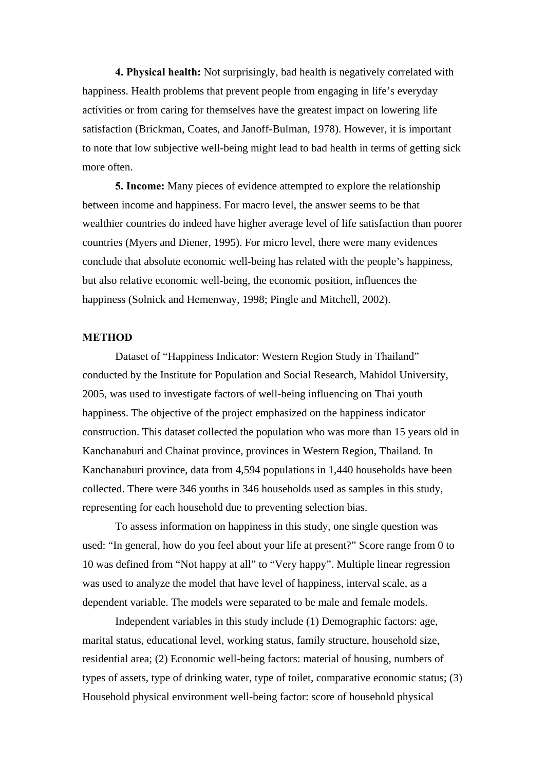**4. Physical health:** Not surprisingly, bad health is negatively correlated with happiness. Health problems that prevent people from engaging in life's everyday activities or from caring for themselves have the greatest impact on lowering life satisfaction (Brickman, Coates, and Janoff-Bulman, 1978). However, it is important to note that low subjective well-being might lead to bad health in terms of getting sick more often.

**5. Income:** Many pieces of evidence attempted to explore the relationship between income and happiness. For macro level, the answer seems to be that wealthier countries do indeed have higher average level of life satisfaction than poorer countries (Myers and Diener, 1995). For micro level, there were many evidences conclude that absolute economic well-being has related with the people's happiness, but also relative economic well-being, the economic position, influences the happiness (Solnick and Hemenway, 1998; Pingle and Mitchell, 2002).

#### **METHOD**

 Dataset of "Happiness Indicator: Western Region Study in Thailand" conducted by the Institute for Population and Social Research, Mahidol University, 2005, was used to investigate factors of well-being influencing on Thai youth happiness. The objective of the project emphasized on the happiness indicator construction. This dataset collected the population who was more than 15 years old in Kanchanaburi and Chainat province, provinces in Western Region, Thailand. In Kanchanaburi province, data from 4,594 populations in 1,440 households have been collected. There were 346 youths in 346 households used as samples in this study, representing for each household due to preventing selection bias.

 To assess information on happiness in this study, one single question was used: "In general, how do you feel about your life at present?" Score range from 0 to 10 was defined from "Not happy at all" to "Very happy". Multiple linear regression was used to analyze the model that have level of happiness, interval scale, as a dependent variable. The models were separated to be male and female models.

 Independent variables in this study include (1) Demographic factors: age, marital status, educational level, working status, family structure, household size, residential area; (2) Economic well-being factors: material of housing, numbers of types of assets, type of drinking water, type of toilet, comparative economic status; (3) Household physical environment well-being factor: score of household physical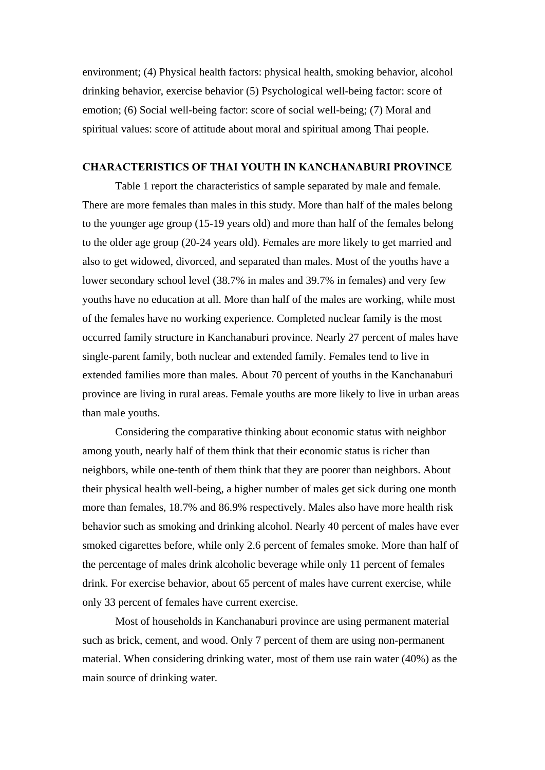environment; (4) Physical health factors: physical health, smoking behavior, alcohol drinking behavior, exercise behavior (5) Psychological well-being factor: score of emotion; (6) Social well-being factor: score of social well-being; (7) Moral and spiritual values: score of attitude about moral and spiritual among Thai people.

#### **CHARACTERISTICS OF THAI YOUTH IN KANCHANABURI PROVINCE**

 Table 1 report the characteristics of sample separated by male and female. There are more females than males in this study. More than half of the males belong to the younger age group (15-19 years old) and more than half of the females belong to the older age group (20-24 years old). Females are more likely to get married and also to get widowed, divorced, and separated than males. Most of the youths have a lower secondary school level (38.7% in males and 39.7% in females) and very few youths have no education at all. More than half of the males are working, while most of the females have no working experience. Completed nuclear family is the most occurred family structure in Kanchanaburi province. Nearly 27 percent of males have single-parent family, both nuclear and extended family. Females tend to live in extended families more than males. About 70 percent of youths in the Kanchanaburi province are living in rural areas. Female youths are more likely to live in urban areas than male youths.

 Considering the comparative thinking about economic status with neighbor among youth, nearly half of them think that their economic status is richer than neighbors, while one-tenth of them think that they are poorer than neighbors. About their physical health well-being, a higher number of males get sick during one month more than females, 18.7% and 86.9% respectively. Males also have more health risk behavior such as smoking and drinking alcohol. Nearly 40 percent of males have ever smoked cigarettes before, while only 2.6 percent of females smoke. More than half of the percentage of males drink alcoholic beverage while only 11 percent of females drink. For exercise behavior, about 65 percent of males have current exercise, while only 33 percent of females have current exercise.

Most of households in Kanchanaburi province are using permanent material such as brick, cement, and wood. Only 7 percent of them are using non-permanent material. When considering drinking water, most of them use rain water (40%) as the main source of drinking water.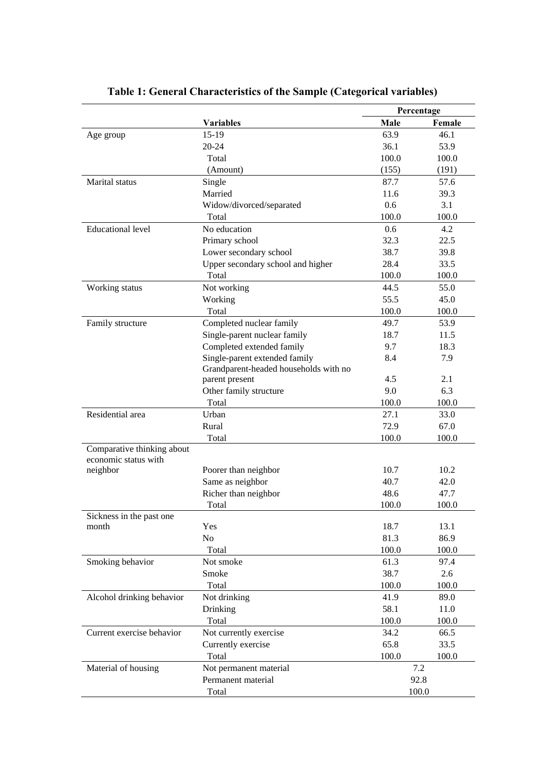|                                                    |                                       | Percentage    |        |
|----------------------------------------------------|---------------------------------------|---------------|--------|
|                                                    | <b>Variables</b>                      | Male          | Female |
| Age group                                          | $15-19$                               | 63.9          | 46.1   |
|                                                    | $20 - 24$                             | 36.1          | 53.9   |
|                                                    | Total                                 | 100.0         | 100.0  |
|                                                    | (Amount)                              | (155)         | (191)  |
| Marital status                                     | Single                                | 87.7          | 57.6   |
|                                                    | Married                               | 11.6          | 39.3   |
|                                                    | Widow/divorced/separated              | 0.6           | 3.1    |
|                                                    | Total                                 | 100.0         | 100.0  |
| <b>Educational level</b>                           | No education                          | $0.6^{\circ}$ | 4.2    |
|                                                    | Primary school                        | 32.3          | 22.5   |
|                                                    | Lower secondary school                | 38.7          | 39.8   |
|                                                    | Upper secondary school and higher     | 28.4          | 33.5   |
|                                                    | Total                                 | 100.0         | 100.0  |
| Working status                                     | Not working                           | 44.5          | 55.0   |
|                                                    | Working                               | 55.5          | 45.0   |
|                                                    | Total                                 | 100.0         | 100.0  |
| Family structure                                   | Completed nuclear family              | 49.7          | 53.9   |
|                                                    | Single-parent nuclear family          | 18.7          | 11.5   |
|                                                    | Completed extended family             | 9.7           | 18.3   |
|                                                    | Single-parent extended family         | 8.4           | 7.9    |
|                                                    | Grandparent-headed households with no |               |        |
|                                                    | parent present                        | 4.5           | 2.1    |
|                                                    | Other family structure                | 9.0           | 6.3    |
|                                                    | Total                                 | 100.0         | 100.0  |
| Residential area                                   | Urban                                 | 27.1          | 33.0   |
|                                                    | Rural                                 | 72.9          | 67.0   |
|                                                    | Total                                 | 100.0         | 100.0  |
| Comparative thinking about<br>economic status with |                                       |               |        |
| neighbor                                           | Poorer than neighbor                  | 10.7          | 10.2   |
|                                                    | Same as neighbor                      | 40.7          | 42.0   |
|                                                    | Richer than neighbor                  | 48.6          | 47.7   |
|                                                    | Total                                 | 100.0         | 100.0  |
| Sickness in the past one                           |                                       |               |        |
| month                                              | Yes                                   | 18.7          | 13.1   |
|                                                    | No                                    | 81.3          | 86.9   |
|                                                    | Total                                 | 100.0         | 100.0  |
| Smoking behavior                                   | Not smoke                             | 61.3          | 97.4   |
|                                                    | Smoke                                 | 38.7          | 2.6    |
|                                                    | Total                                 | 100.0         | 100.0  |
| Alcohol drinking behavior                          | Not drinking                          | 41.9          | 89.0   |
|                                                    | Drinking                              | 58.1          | 11.0   |
|                                                    | Total                                 | 100.0         | 100.0  |
| Current exercise behavior                          | Not currently exercise                | 34.2          | 66.5   |
|                                                    | Currently exercise                    | 65.8          | 33.5   |
|                                                    | Total                                 | 100.0         | 100.0  |
| Material of housing                                | Not permanent material                |               | 7.2    |
|                                                    | Permanent material                    |               | 92.8   |
|                                                    | Total                                 |               | 100.0  |

## **Table 1: General Characteristics of the Sample (Categorical variables)**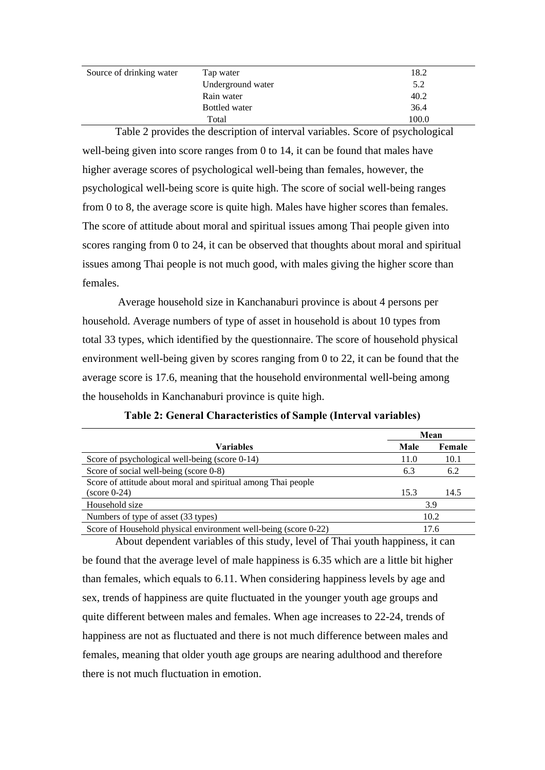| Source of drinking water | Tap water         | 18.2  |
|--------------------------|-------------------|-------|
|                          | Underground water | 5.2   |
|                          | Rain water        | 40.2  |
|                          | Bottled water     | 36.4  |
|                          | Total             | 100.0 |

Table 2 provides the description of interval variables. Score of psychological well-being given into score ranges from 0 to 14, it can be found that males have higher average scores of psychological well-being than females, however, the psychological well-being score is quite high. The score of social well-being ranges from 0 to 8, the average score is quite high. Males have higher scores than females. The score of attitude about moral and spiritual issues among Thai people given into scores ranging from 0 to 24, it can be observed that thoughts about moral and spiritual issues among Thai people is not much good, with males giving the higher score than females.

 Average household size in Kanchanaburi province is about 4 persons per household. Average numbers of type of asset in household is about 10 types from total 33 types, which identified by the questionnaire. The score of household physical environment well-being given by scores ranging from 0 to 22, it can be found that the average score is 17.6, meaning that the household environmental well-being among the households in Kanchanaburi province is quite high.

|                                                                 | Mean |        |  |
|-----------------------------------------------------------------|------|--------|--|
| <b>Variables</b>                                                | Male | Female |  |
| Score of psychological well-being (score 0-14)                  | 11.0 | 10.1   |  |
| Score of social well-being (score 0-8)                          | 6.3  | 6.2    |  |
| Score of attitude about moral and spiritual among Thai people   |      |        |  |
| $(\text{score } 0.24)$                                          | 15.3 | 14.5   |  |
| Household size                                                  |      | 3.9    |  |
| Numbers of type of asset (33 types)                             | 10.2 |        |  |
| Score of Household physical environment well-being (score 0-22) | 17.6 |        |  |

**Table 2: General Characteristics of Sample (Interval variables)** 

About dependent variables of this study, level of Thai youth happiness, it can be found that the average level of male happiness is 6.35 which are a little bit higher than females, which equals to 6.11. When considering happiness levels by age and sex, trends of happiness are quite fluctuated in the younger youth age groups and quite different between males and females. When age increases to 22-24, trends of happiness are not as fluctuated and there is not much difference between males and females, meaning that older youth age groups are nearing adulthood and therefore there is not much fluctuation in emotion.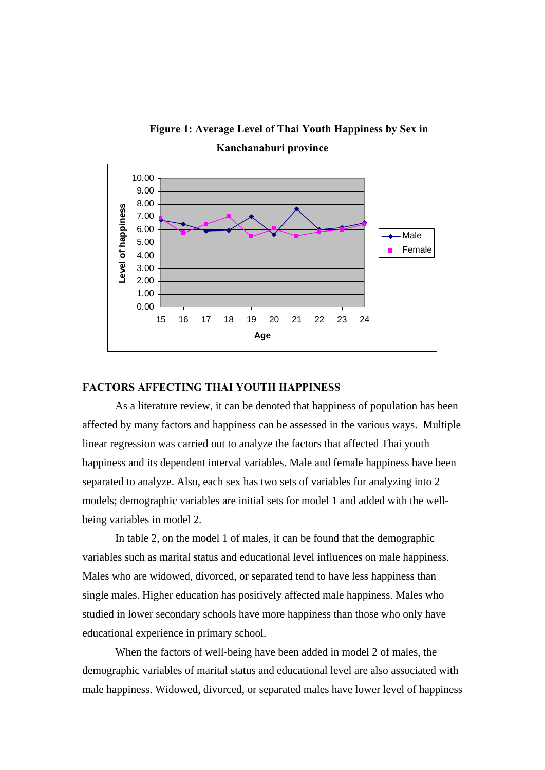



#### **FACTORS AFFECTING THAI YOUTH HAPPINESS**

As a literature review, it can be denoted that happiness of population has been affected by many factors and happiness can be assessed in the various ways. Multiple linear regression was carried out to analyze the factors that affected Thai youth happiness and its dependent interval variables. Male and female happiness have been separated to analyze. Also, each sex has two sets of variables for analyzing into 2 models; demographic variables are initial sets for model 1 and added with the wellbeing variables in model 2.

 In table 2, on the model 1 of males, it can be found that the demographic variables such as marital status and educational level influences on male happiness. Males who are widowed, divorced, or separated tend to have less happiness than single males. Higher education has positively affected male happiness. Males who studied in lower secondary schools have more happiness than those who only have educational experience in primary school.

 When the factors of well-being have been added in model 2 of males, the demographic variables of marital status and educational level are also associated with male happiness. Widowed, divorced, or separated males have lower level of happiness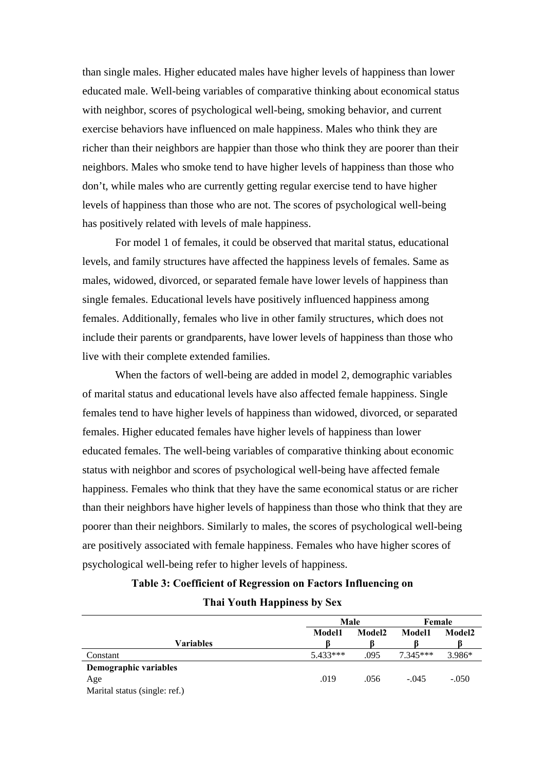than single males. Higher educated males have higher levels of happiness than lower educated male. Well-being variables of comparative thinking about economical status with neighbor, scores of psychological well-being, smoking behavior, and current exercise behaviors have influenced on male happiness. Males who think they are richer than their neighbors are happier than those who think they are poorer than their neighbors. Males who smoke tend to have higher levels of happiness than those who don't, while males who are currently getting regular exercise tend to have higher levels of happiness than those who are not. The scores of psychological well-being has positively related with levels of male happiness.

 For model 1 of females, it could be observed that marital status, educational levels, and family structures have affected the happiness levels of females. Same as males, widowed, divorced, or separated female have lower levels of happiness than single females. Educational levels have positively influenced happiness among females. Additionally, females who live in other family structures, which does not include their parents or grandparents, have lower levels of happiness than those who live with their complete extended families.

 When the factors of well-being are added in model 2, demographic variables of marital status and educational levels have also affected female happiness. Single females tend to have higher levels of happiness than widowed, divorced, or separated females. Higher educated females have higher levels of happiness than lower educated females. The well-being variables of comparative thinking about economic status with neighbor and scores of psychological well-being have affected female happiness. Females who think that they have the same economical status or are richer than their neighbors have higher levels of happiness than those who think that they are poorer than their neighbors. Similarly to males, the scores of psychological well-being are positively associated with female happiness. Females who have higher scores of psychological well-being refer to higher levels of happiness.

### **Table 3: Coefficient of Regression on Factors Influencing on Thai Youth Happiness by Sex**

|                               | Male          |        | Female        |         |
|-------------------------------|---------------|--------|---------------|---------|
|                               | <b>Model1</b> | Model2 | <b>Model1</b> | Model2  |
| Variables                     |               |        |               |         |
| Constant                      | $5.433***$    | .095   | $7.345***$    | 3.986*  |
| Demographic variables         |               |        |               |         |
| Age                           | .019          | .056   | $-.045$       | $-.050$ |
| Marital status (single: ref.) |               |        |               |         |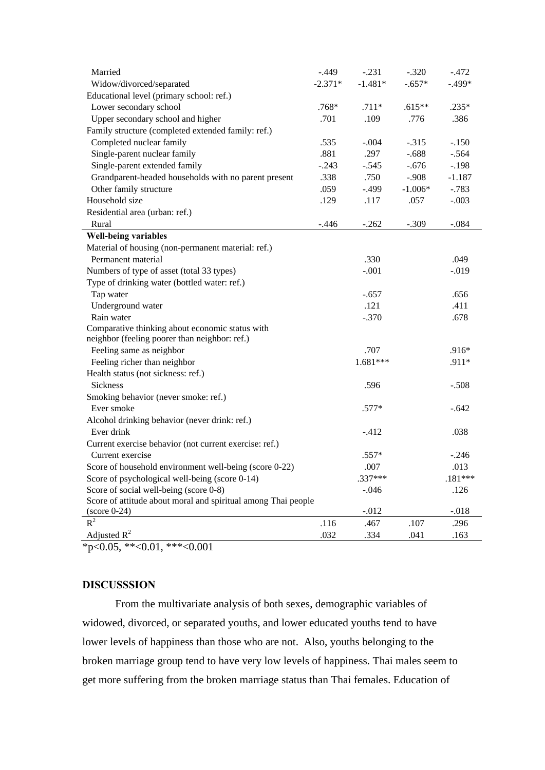| Married                                                       | $-.449$   | $-.231$    | $-.320$   | $-.472$   |
|---------------------------------------------------------------|-----------|------------|-----------|-----------|
| Widow/divorced/separated                                      | $-2.371*$ | $-1.481*$  | $-.657*$  | $-.499*$  |
| Educational level (primary school: ref.)                      |           |            |           |           |
| Lower secondary school                                        | $.768*$   | $.711*$    | $.615**$  | $.235*$   |
| Upper secondary school and higher                             | .701      | .109       | .776      | .386      |
| Family structure (completed extended family: ref.)            |           |            |           |           |
| Completed nuclear family                                      | .535      | $-.004$    | $-.315$   | $-.150$   |
| Single-parent nuclear family                                  | .881      | .297       | $-.688$   | $-.564$   |
| Single-parent extended family                                 | $-.243$   | $-.545$    | $-.676$   | $-.198$   |
| Grandparent-headed households with no parent present          | .338      | .750       | $-.908$   | $-1.187$  |
| Other family structure                                        | .059      | $-.499$    | $-1.006*$ | $-.783$   |
| Household size                                                | .129      | .117       | .057      | $-.003$   |
| Residential area (urban: ref.)                                |           |            |           |           |
| Rural                                                         | $-.446$   | $-.262$    | $-.309$   | $-.084$   |
| <b>Well-being variables</b>                                   |           |            |           |           |
| Material of housing (non-permanent material: ref.)            |           |            |           |           |
| Permanent material                                            |           | .330       |           | .049      |
| Numbers of type of asset (total 33 types)                     |           | $-.001$    |           | $-0.019$  |
| Type of drinking water (bottled water: ref.)                  |           |            |           |           |
| Tap water                                                     |           | $-.657$    |           | .656      |
| Underground water                                             |           | .121       |           | .411      |
| Rain water                                                    |           | $-.370$    |           | .678      |
| Comparative thinking about economic status with               |           |            |           |           |
| neighbor (feeling poorer than neighbor: ref.)                 |           |            |           |           |
| Feeling same as neighbor                                      |           | .707       |           | .916*     |
| Feeling richer than neighbor                                  |           | $1.681***$ |           | .911*     |
| Health status (not sickness: ref.)                            |           |            |           |           |
| <b>Sickness</b>                                               |           | .596       |           | $-.508$   |
| Smoking behavior (never smoke: ref.)                          |           |            |           |           |
| Ever smoke                                                    |           | .577*      |           | $-.642$   |
| Alcohol drinking behavior (never drink: ref.)                 |           |            |           |           |
| Ever drink                                                    |           | $-.412$    |           | .038      |
| Current exercise behavior (not current exercise: ref.)        |           |            |           |           |
| Current exercise                                              |           | $.557*$    |           | $-.246$   |
| Score of household environment well-being (score 0-22)        |           | .007       |           | .013      |
| Score of psychological well-being (score 0-14)                |           | $.337***$  |           | $.181***$ |
| Score of social well-being (score 0-8)                        |           | $-.046$    |           | .126      |
| Score of attitude about moral and spiritual among Thai people |           |            |           |           |
| $(\text{score } 0-24)$                                        |           | $-.012$    |           | $-.018$   |
| $R^2$                                                         | .116      | .467       | .107      | .296      |
| Adjusted $R^2$                                                | .032      | .334       | .041      | .163      |

 $*_{p<0.05, *<0.01, **<0.001}$ 

#### **DISCUSSSION**

 From the multivariate analysis of both sexes, demographic variables of widowed, divorced, or separated youths, and lower educated youths tend to have lower levels of happiness than those who are not. Also, youths belonging to the broken marriage group tend to have very low levels of happiness. Thai males seem to get more suffering from the broken marriage status than Thai females. Education of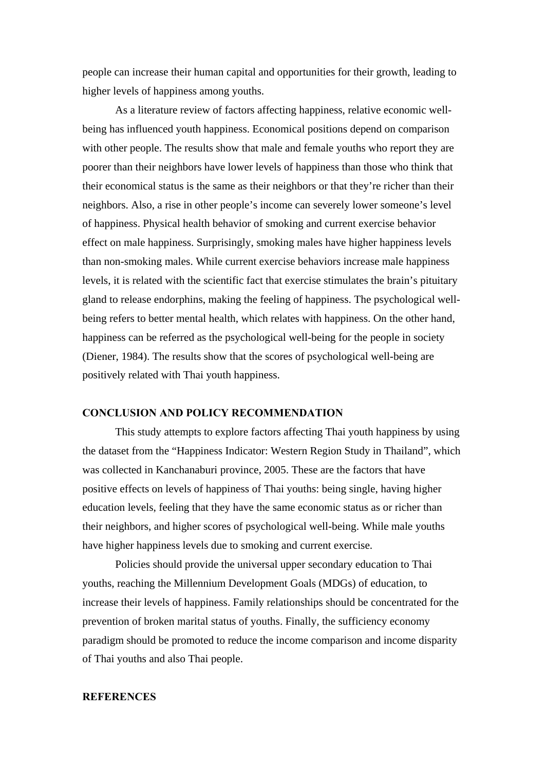people can increase their human capital and opportunities for their growth, leading to higher levels of happiness among youths.

 As a literature review of factors affecting happiness, relative economic wellbeing has influenced youth happiness. Economical positions depend on comparison with other people. The results show that male and female youths who report they are poorer than their neighbors have lower levels of happiness than those who think that their economical status is the same as their neighbors or that they're richer than their neighbors. Also, a rise in other people's income can severely lower someone's level of happiness. Physical health behavior of smoking and current exercise behavior effect on male happiness. Surprisingly, smoking males have higher happiness levels than non-smoking males. While current exercise behaviors increase male happiness levels, it is related with the scientific fact that exercise stimulates the brain's pituitary gland to release endorphins, making the feeling of happiness. The psychological wellbeing refers to better mental health, which relates with happiness. On the other hand, happiness can be referred as the psychological well-being for the people in society (Diener, 1984). The results show that the scores of psychological well-being are positively related with Thai youth happiness.

#### **CONCLUSION AND POLICY RECOMMENDATION**

This study attempts to explore factors affecting Thai youth happiness by using the dataset from the "Happiness Indicator: Western Region Study in Thailand", which was collected in Kanchanaburi province, 2005. These are the factors that have positive effects on levels of happiness of Thai youths: being single, having higher education levels, feeling that they have the same economic status as or richer than their neighbors, and higher scores of psychological well-being. While male youths have higher happiness levels due to smoking and current exercise.

 Policies should provide the universal upper secondary education to Thai youths, reaching the Millennium Development Goals (MDGs) of education, to increase their levels of happiness. Family relationships should be concentrated for the prevention of broken marital status of youths. Finally, the sufficiency economy paradigm should be promoted to reduce the income comparison and income disparity of Thai youths and also Thai people.

#### **REFERENCES**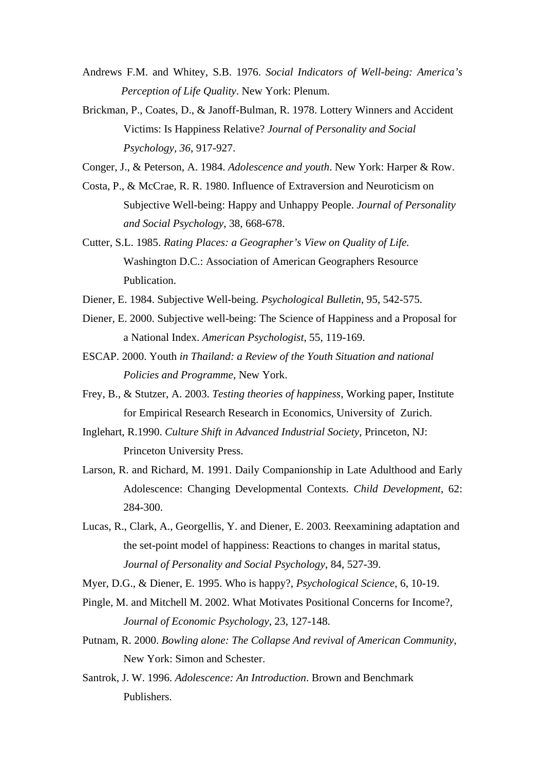- Andrews F.M. and Whitey, S.B. 1976. *Social Indicators of Well-being: America's Perception of Life Quality*. New York: Plenum.
- Brickman, P., Coates, D., & Janoff-Bulman, R. 1978. Lottery Winners and Accident Victims: Is Happiness Relative? *Journal of Personality and Social Psychology, 36*, 917-927.

Conger, J., & Peterson, A. 1984. *Adolescence and youth*. New York: Harper & Row.

- Costa, P., & McCrae, R. R. 1980. Influence of Extraversion and Neuroticism on Subjective Well-being: Happy and Unhappy People. *Journal of Personality and Social Psychology*, 38, 668-678.
- Cutter, S.L. 1985. *Rating Places: a Geographer's View on Quality of Life.* Washington D.C.: Association of American Geographers Resource Publication.
- Diener, E. 1984. Subjective Well-being. *Psychological Bulletin*, 95, 542-575.
- Diener, E. 2000. Subjective well-being: The Science of Happiness and a Proposal for a National Index. *American Psychologist*, 55, 119-169.
- ESCAP. 2000. Youth *in Thailand: a Review of the Youth Situation and national Policies and Programme*, New York.
- Frey, B., & Stutzer, A. 2003. *Testing theories of happiness*, Working paper, Institute for Empirical Research Research in Economics, University of Zurich.
- Inglehart, R.1990. *Culture Shift in Advanced Industrial Society*, Princeton, NJ: Princeton University Press.
- Larson, R. and Richard, M. 1991. Daily Companionship in Late Adulthood and Early Adolescence: Changing Developmental Contexts. *Child Development*, 62: 284-300.
- Lucas, R., Clark, A., Georgellis, Y. and Diener, E. 2003. Reexamining adaptation and the set-point model of happiness: Reactions to changes in marital status, *Journal of Personality and Social Psychology*, 84, 527-39.
- Myer, D.G., & Diener, E. 1995. Who is happy?, *Psychological Science*, 6, 10-19.
- Pingle, M. and Mitchell M. 2002. What Motivates Positional Concerns for Income?, *Journal of Economic Psychology*, 23, 127-148.
- Putnam, R. 2000. *Bowling alone: The Collapse And revival of American Community*, New York: Simon and Schester.
- Santrok, J. W. 1996. *Adolescence: An Introduction*. Brown and Benchmark Publishers.